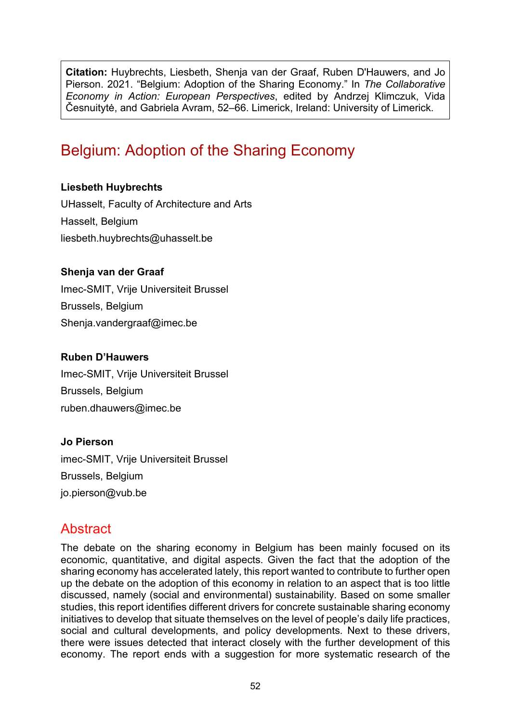**Citation:** Huybrechts, Liesbeth, Shenja van der Graaf, Ruben D'Hauwers, and Jo Pierson. 2021. "Belgium: Adoption of the Sharing Economy." In *The Collaborative Economy in Action: European Perspectives*, edited by Andrzej Klimczuk, Vida Česnuitytė, and Gabriela Avram, 52–66. Limerick, Ireland: University of Limerick.

# Belgium: Adoption of the Sharing Economy

#### **Liesbeth Huybrechts**

UHasselt, Faculty of Architecture and Arts Hasselt, Belgium [liesbeth.huybrechts@uhasselt.be](mailto:liesbeth.huybrechts@uhasselt.be)

#### **Shenja van der Graaf**

Imec-SMIT, Vrije Universiteit Brussel Brussels, Belgium Shenja.vandergraaf@imec.be

#### **Ruben D'Hauwers**

Imec-SMIT, Vrije Universiteit Brussel Brussels, Belgium ruben.dhauwers@imec.be

#### **Jo Pierson**

imec-SMIT, Vrije Universiteit Brussel Brussels, Belgium jo.pierson@vub.be

# **Abstract**

The debate on the sharing economy in Belgium has been mainly focused on its economic, quantitative, and digital aspects. Given the fact that the adoption of the sharing economy has accelerated lately, this report wanted to contribute to further open up the debate on the adoption of this economy in relation to an aspect that is too little discussed, namely (social and environmental) sustainability*.* Based on some smaller studies, this report identifies different drivers for concrete sustainable sharing economy initiatives to develop that situate themselves on the level of people's daily life practices, social and cultural developments, and policy developments. Next to these drivers, there were issues detected that interact closely with the further development of this economy. The report ends with a suggestion for more systematic research of the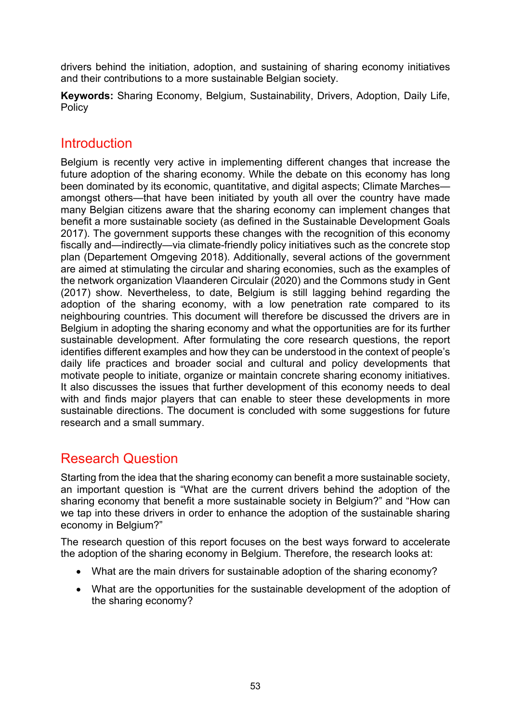drivers behind the initiation, adoption, and sustaining of sharing economy initiatives and their contributions to a more sustainable Belgian society.

**Keywords:** Sharing Economy, Belgium, Sustainability, Drivers, Adoption, Daily Life, Policy

## **Introduction**

Belgium is recently very active in implementing different changes that increase the future adoption of the sharing economy. While the debate on this economy has long been dominated by its economic, quantitative, and digital aspects; Climate Marches amongst others—that have been initiated by youth all over the country have made many Belgian citizens aware that the sharing economy can implement changes that benefit a more sustainable society (as defined in the Sustainable Development Goals 2017). The government supports these changes with the recognition of this economy fiscally and—indirectly—via climate-friendly policy initiatives such as the concrete stop plan (Departement Omgeving 2018). Additionally, several actions of the government are aimed at stimulating the circular and sharing economies, such as the examples of the network organization Vlaanderen Circulair (2020) and the Commons study in Gent (2017) show. Nevertheless, to date, Belgium is still lagging behind regarding the adoption of the sharing economy, with a low penetration rate compared to its neighbouring countries. This document will therefore be discussed the drivers are in Belgium in adopting the sharing economy and what the opportunities are for its further sustainable development. After formulating the core research questions, the report identifies different examples and how they can be understood in the context of people's daily life practices and broader social and cultural and policy developments that motivate people to initiate, organize or maintain concrete sharing economy initiatives. It also discusses the issues that further development of this economy needs to deal with and finds major players that can enable to steer these developments in more sustainable directions. The document is concluded with some suggestions for future research and a small summary.

# Research Question

Starting from the idea that the sharing economy can benefit a more sustainable society, an important question is "What are the current drivers behind the adoption of the sharing economy that benefit a more sustainable society in Belgium?" and "How can we tap into these drivers in order to enhance the adoption of the sustainable sharing economy in Belgium?"

The research question of this report focuses on the best ways forward to accelerate the adoption of the sharing economy in Belgium. Therefore, the research looks at:

- What are the main drivers for sustainable adoption of the sharing economy?
- What are the opportunities for the sustainable development of the adoption of the sharing economy?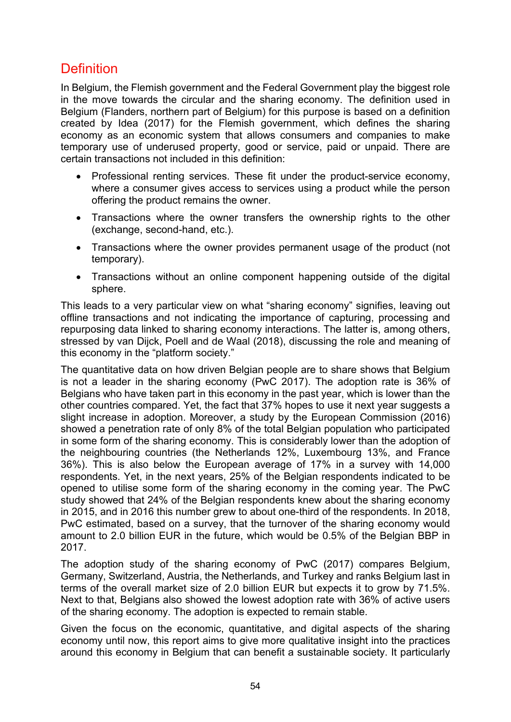# **Definition**

In Belgium, the Flemish government and the Federal Government play the biggest role in the move towards the circular and the sharing economy. The definition used in Belgium (Flanders, northern part of Belgium) for this purpose is based on a definition created by Idea (2017) for the Flemish government, which defines the sharing economy as an economic system that allows consumers and companies to make temporary use of underused property, good or service, paid or unpaid. There are certain transactions not included in this definition:

- Professional renting services. These fit under the product-service economy, where a consumer gives access to services using a product while the person offering the product remains the owner.
- Transactions where the owner transfers the ownership rights to the other (exchange, second-hand, etc.).
- Transactions where the owner provides permanent usage of the product (not temporary).
- Transactions without an online component happening outside of the digital sphere.

This leads to a very particular view on what "sharing economy" signifies, leaving out offline transactions and not indicating the importance of capturing, processing and repurposing data linked to sharing economy interactions. The latter is, among others, stressed by van Dijck, Poell and de Waal (2018), discussing the role and meaning of this economy in the "platform society."

The quantitative data on how driven Belgian people are to share shows that Belgium is not a leader in the sharing economy (PwC 2017). The adoption rate is 36% of Belgians who have taken part in this economy in the past year, which is lower than the other countries compared. Yet, the fact that 37% hopes to use it next year suggests a slight increase in adoption. Moreover, a study by the European Commission (2016) showed a penetration rate of only 8% of the total Belgian population who participated in some form of the sharing economy. This is considerably lower than the adoption of the neighbouring countries (the Netherlands 12%, Luxembourg 13%, and France 36%). This is also below the European average of 17% in a survey with 14,000 respondents. Yet, in the next years, 25% of the Belgian respondents indicated to be opened to utilise some form of the sharing economy in the coming year. The PwC study showed that 24% of the Belgian respondents knew about the sharing economy in 2015, and in 2016 this number grew to about one-third of the respondents. In 2018, PwC estimated, based on a survey, that the turnover of the sharing economy would amount to 2.0 billion EUR in the future, which would be 0.5% of the Belgian BBP in 2017.

The adoption study of the sharing economy of PwC (2017) compares Belgium, Germany, Switzerland, Austria, the Netherlands, and Turkey and ranks Belgium last in terms of the overall market size of 2.0 billion EUR but expects it to grow by 71.5%. Next to that, Belgians also showed the lowest adoption rate with 36% of active users of the sharing economy. The adoption is expected to remain stable.

Given the focus on the economic, quantitative, and digital aspects of the sharing economy until now, this report aims to give more qualitative insight into the practices around this economy in Belgium that can benefit a sustainable society. It particularly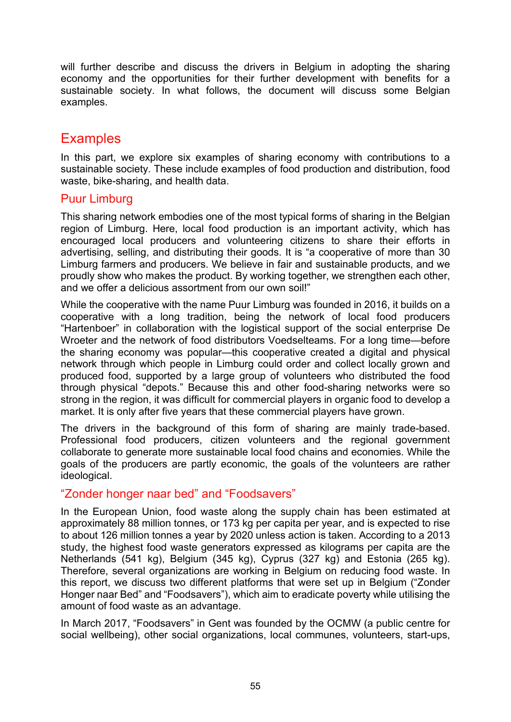will further describe and discuss the drivers in Belgium in adopting the sharing economy and the opportunities for their further development with benefits for a sustainable society. In what follows, the document will discuss some Belgian examples.

# **Examples**

In this part, we explore six examples of sharing economy with contributions to a sustainable society. These include examples of food production and distribution, food waste, bike-sharing, and health data.

#### Puur Limburg

This sharing network embodies one of the most typical forms of sharing in the Belgian region of Limburg. Here, local food production is an important activity, which has encouraged local producers and volunteering citizens to share their efforts in advertising, selling, and distributing their goods. It is "a cooperative of more than 30 Limburg farmers and producers. We believe in fair and sustainable products, and we proudly show who makes the product. By working together, we strengthen each other, and we offer a delicious assortment from our own soil!"

While the cooperative with the name Puur Limburg was founded in 2016, it builds on a cooperative with a long tradition, being the network of local food producers "Hartenboer" in collaboration with the logistical support of the social enterprise De Wroeter and the network of food distributors Voedselteams. For a long time—before the sharing economy was popular—this cooperative created a digital and physical network through which people in Limburg could order and collect locally grown and produced food, supported by a large group of volunteers who distributed the food through physical "depots." Because this and other food-sharing networks were so strong in the region, it was difficult for commercial players in organic food to develop a market. It is only after five years that these commercial players have grown.

The drivers in the background of this form of sharing are mainly trade-based. Professional food producers, citizen volunteers and the regional government collaborate to generate more sustainable local food chains and economies. While the goals of the producers are partly economic, the goals of the volunteers are rather ideological.

### "Zonder honger naar bed" and "Foodsavers"

In the European Union, food waste along the supply chain has been estimated at approximately 88 million tonnes, or 173 kg per capita per year, and is expected to rise to about 126 million tonnes a year by 2020 unless action is taken. According to a 2013 study, the highest food waste generators expressed as kilograms per capita are the Netherlands (541 kg), Belgium (345 kg), Cyprus (327 kg) and Estonia (265 kg). Therefore, several organizations are working in Belgium on reducing food waste. In this report, we discuss two different platforms that were set up in Belgium ("Zonder Honger naar Bed" and "Foodsavers"), which aim to eradicate poverty while utilising the amount of food waste as an advantage.

In March 2017, "Foodsavers" in Gent was founded by the OCMW (a public centre for social wellbeing), other social organizations, local communes, volunteers, start-ups,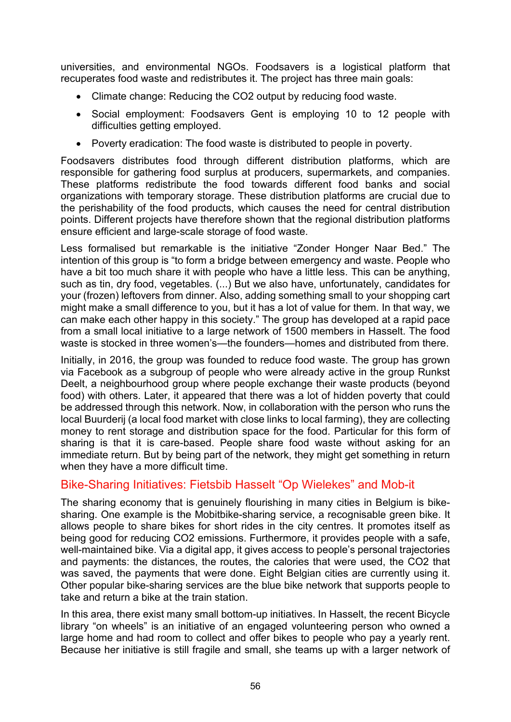universities, and environmental NGOs. Foodsavers is a logistical platform that recuperates food waste and redistributes it. The project has three main goals:

- Climate change: Reducing the CO2 output by reducing food waste.
- Social employment: Foodsavers Gent is employing 10 to 12 people with difficulties getting employed.
- Poverty eradication: The food waste is distributed to people in poverty.

Foodsavers distributes food through different distribution platforms, which are responsible for gathering food surplus at producers, supermarkets, and companies. These platforms redistribute the food towards different food banks and social organizations with temporary storage. These distribution platforms are crucial due to the perishability of the food products, which causes the need for central distribution points. Different projects have therefore shown that the regional distribution platforms ensure efficient and large-scale storage of food waste.

Less formalised but remarkable is the initiative "Zonder Honger Naar Bed." The intention of this group is "to form a bridge between emergency and waste. People who have a bit too much share it with people who have a little less. This can be anything, such as tin, dry food, vegetables. (...) But we also have, unfortunately, candidates for your (frozen) leftovers from dinner. Also, adding something small to your shopping cart might make a small difference to you, but it has a lot of value for them. In that way, we can make each other happy in this society." The group has developed at a rapid pace from a small local initiative to a large network of 1500 members in Hasselt. The food waste is stocked in three women's—the founders—homes and distributed from there.

Initially, in 2016, the group was founded to reduce food waste. The group has grown via Facebook as a subgroup of people who were already active in the group Runkst Deelt, a neighbourhood group where people exchange their waste products (beyond food) with others. Later, it appeared that there was a lot of hidden poverty that could be addressed through this network. Now, in collaboration with the person who runs the local Buurderij (a local food market with close links to local farming), they are collecting money to rent storage and distribution space for the food. Particular for this form of sharing is that it is care-based. People share food waste without asking for an immediate return. But by being part of the network, they might get something in return when they have a more difficult time.

### Bike-Sharing Initiatives: Fietsbib Hasselt "Op Wielekes" and Mob-it

The sharing economy that is genuinely flourishing in many cities in Belgium is bikesharing. One example is the Mobitbike-sharing service, a recognisable green bike. It allows people to share bikes for short rides in the city centres. It promotes itself as being good for reducing CO2 emissions. Furthermore, it provides people with a safe, well-maintained bike. Via a digital app, it gives access to people's personal trajectories and payments: the distances, the routes, the calories that were used, the CO2 that was saved, the payments that were done. Eight Belgian cities are currently using it. Other popular bike-sharing services are the blue bike network that supports people to take and return a bike at the train station.

In this area, there exist many small bottom-up initiatives. In Hasselt, the recent Bicycle library "on wheels" is an initiative of an engaged volunteering person who owned a large home and had room to collect and offer bikes to people who pay a yearly rent. Because her initiative is still fragile and small, she teams up with a larger network of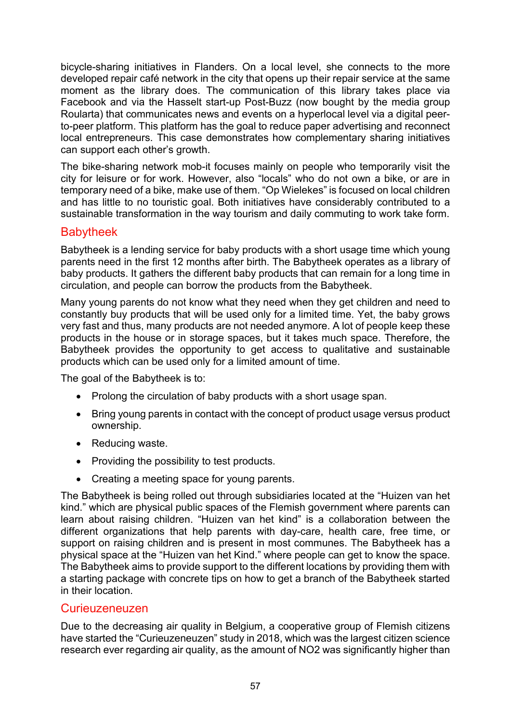bicycle-sharing initiatives in Flanders. On a local level, she connects to the more developed repair café network in the city that opens up their repair service at the same moment as the library does. The communication of this library takes place via Facebook and via the Hasselt start-up Post-Buzz (now bought by the media group Roularta) that communicates news and events on a hyperlocal level via a digital peerto-peer platform. This platform has the goal to reduce paper advertising and reconnect local entrepreneurs. This case demonstrates how complementary sharing initiatives can support each other's growth.

The bike-sharing network mob-it focuses mainly on people who temporarily visit the city for leisure or for work. However, also "locals" who do not own a bike, or are in temporary need of a bike, make use of them. "Op Wielekes" is focused on local children and has little to no touristic goal. Both initiatives have considerably contributed to a sustainable transformation in the way tourism and daily commuting to work take form.

#### Babytheek

Babytheek is a lending service for baby products with a short usage time which young parents need in the first 12 months after birth. The Babytheek operates as a library of baby products. It gathers the different baby products that can remain for a long time in circulation, and people can borrow the products from the Babytheek.

Many young parents do not know what they need when they get children and need to constantly buy products that will be used only for a limited time. Yet, the baby grows very fast and thus, many products are not needed anymore. A lot of people keep these products in the house or in storage spaces, but it takes much space. Therefore, the Babytheek provides the opportunity to get access to qualitative and sustainable products which can be used only for a limited amount of time.

The goal of the Babytheek is to:

- Prolong the circulation of baby products with a short usage span.
- Bring young parents in contact with the concept of product usage versus product ownership.
- Reducing waste.
- Providing the possibility to test products.
- Creating a meeting space for young parents.

The Babytheek is being rolled out through subsidiaries located at the "Huizen van het kind." which are physical public spaces of the Flemish government where parents can learn about raising children. "Huizen van het kind" is a collaboration between the different organizations that help parents with day-care, health care, free time, or support on raising children and is present in most communes. The Babytheek has a physical space at the "Huizen van het Kind." where people can get to know the space. The Babytheek aims to provide support to the different locations by providing them with a starting package with concrete tips on how to get a branch of the Babytheek started in their location.

#### Curieuzeneuzen

Due to the decreasing air quality in Belgium, a cooperative group of Flemish citizens have started the "Curieuzeneuzen" study in 2018, which was the largest citizen science research ever regarding air quality, as the amount of NO2 was significantly higher than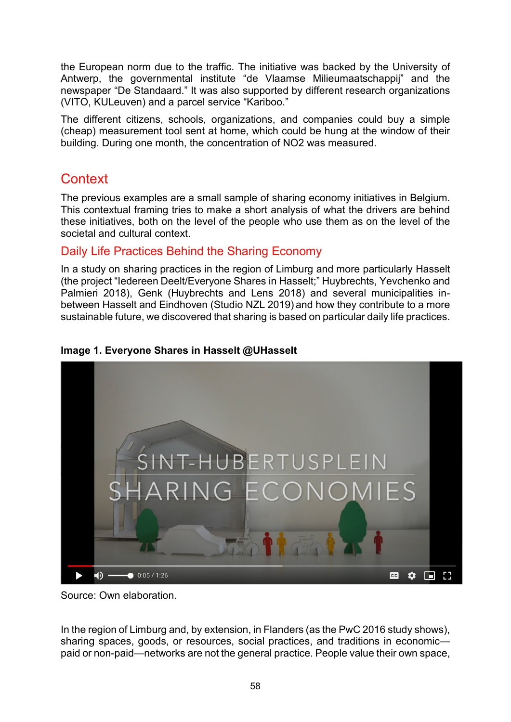the European norm due to the traffic. The initiative was backed by the University of Antwerp, the governmental institute "de Vlaamse Milieumaatschappij" and the newspaper "De Standaard." It was also supported by different research organizations (VITO, KULeuven) and a parcel service "Kariboo."

The different citizens, schools, organizations, and companies could buy a simple (cheap) measurement tool sent at home, which could be hung at the window of their building. During one month, the concentration of NO2 was measured.

# **Context**

The previous examples are a small sample of sharing economy initiatives in Belgium. This contextual framing tries to make a short analysis of what the drivers are behind these initiatives, both on the level of the people who use them as on the level of the societal and cultural context.

### Daily Life Practices Behind the Sharing Economy

In a study on sharing practices in the region of Limburg and more particularly Hasselt (the project "Iedereen Deelt/Everyone Shares in Hasselt;" Huybrechts, Yevchenko and Palmieri 2018), Genk (Huybrechts and Lens 2018) and several municipalities inbetween Hasselt and Eindhoven (Studio NZL 2019) and how they contribute to a more sustainable future, we discovered that sharing is based on particular daily life practices.



#### **Image 1. Everyone Shares in Hasselt @UHasselt**

Source: Own elaboration.

In the region of Limburg and, by extension, in Flanders (as the PwC 2016 study shows), sharing spaces, goods, or resources, social practices, and traditions in economic paid or non-paid—networks are not the general practice. People value their own space,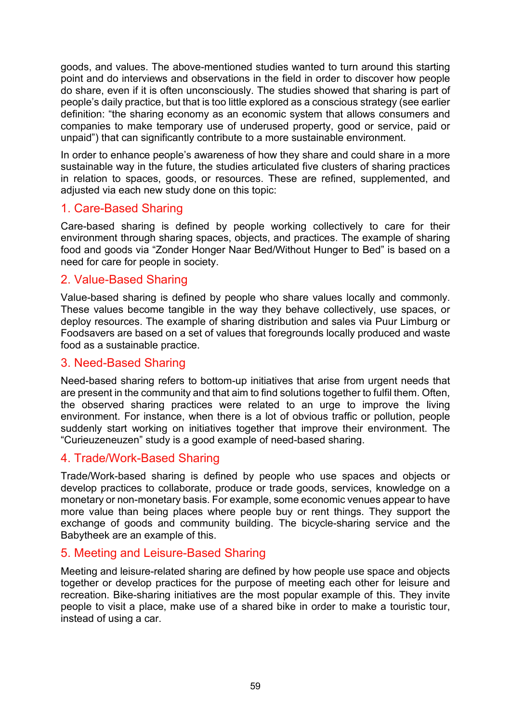goods, and values. The above-mentioned studies wanted to turn around this starting point and do interviews and observations in the field in order to discover how people do share, even if it is often unconsciously. The studies showed that sharing is part of people's daily practice, but that is too little explored as a conscious strategy (see earlier definition: "the sharing economy as an economic system that allows consumers and companies to make temporary use of underused property, good or service, paid or unpaid") that can significantly contribute to a more sustainable environment.

In order to enhance people's awareness of how they share and could share in a more sustainable way in the future, the studies articulated five clusters of sharing practices in relation to spaces, goods, or resources. These are refined, supplemented, and adjusted via each new study done on this topic:

### 1. Care-Based Sharing

Care-based sharing is defined by people working collectively to care for their environment through sharing spaces, objects, and practices. The example of sharing food and goods via "Zonder Honger Naar Bed/Without Hunger to Bed" is based on a need for care for people in society.

#### 2. Value-Based Sharing

Value-based sharing is defined by people who share values locally and commonly. These values become tangible in the way they behave collectively, use spaces, or deploy resources. The example of sharing distribution and sales via Puur Limburg or Foodsavers are based on a set of values that foregrounds locally produced and waste food as a sustainable practice.

#### 3. Need-Based Sharing

Need-based sharing refers to bottom-up initiatives that arise from urgent needs that are present in the community and that aim to find solutions together to fulfil them. Often, the observed sharing practices were related to an urge to improve the living environment. For instance, when there is a lot of obvious traffic or pollution, people suddenly start working on initiatives together that improve their environment. The "Curieuzeneuzen" study is a good example of need-based sharing.

#### 4. Trade/Work-Based Sharing

Trade/Work-based sharing is defined by people who use spaces and objects or develop practices to collaborate, produce or trade goods, services, knowledge on a monetary or non-monetary basis. For example, some economic venues appear to have more value than being places where people buy or rent things. They support the exchange of goods and community building. The bicycle-sharing service and the Babytheek are an example of this.

#### 5. Meeting and Leisure-Based Sharing

Meeting and leisure-related sharing are defined by how people use space and objects together or develop practices for the purpose of meeting each other for leisure and recreation. Bike-sharing initiatives are the most popular example of this. They invite people to visit a place, make use of a shared bike in order to make a touristic tour, instead of using a car.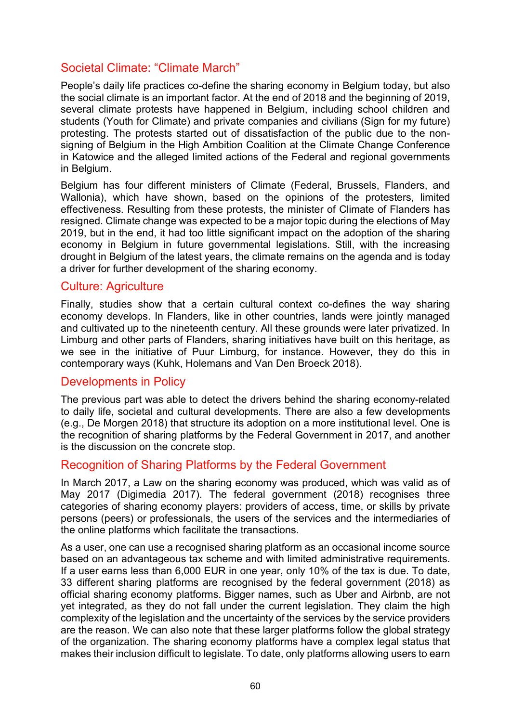### Societal Climate: "Climate March"

People's daily life practices co-define the sharing economy in Belgium today, but also the social climate is an important factor. At the end of 2018 and the beginning of 2019, several climate protests have happened in Belgium, including school children and students (Youth for Climate) and private companies and civilians (Sign for my future) protesting. The protests started out of dissatisfaction of the public due to the nonsigning of Belgium in the High Ambition Coalition at the Climate Change Conference in Katowice and the alleged limited actions of the Federal and regional governments in Belgium.

Belgium has four different ministers of Climate (Federal, Brussels, Flanders, and Wallonia), which have shown, based on the opinions of the protesters, limited effectiveness. Resulting from these protests, the minister of Climate of Flanders has resigned. Climate change was expected to be a major topic during the elections of May 2019, but in the end, it had too little significant impact on the adoption of the sharing economy in Belgium in future governmental legislations. Still, with the increasing drought in Belgium of the latest years, the climate remains on the agenda and is today a driver for further development of the sharing economy.

#### Culture: Agriculture

Finally, studies show that a certain cultural context co-defines the way sharing economy develops. In Flanders, like in other countries, lands were jointly managed and cultivated up to the nineteenth century. All these grounds were later privatized. In Limburg and other parts of Flanders, sharing initiatives have built on this heritage, as we see in the initiative of Puur Limburg, for instance. However, they do this in contemporary ways (Kuhk, Holemans and Van Den Broeck 2018).

#### Developments in Policy

The previous part was able to detect the drivers behind the sharing economy-related to daily life, societal and cultural developments. There are also a few developments (e.g., De Morgen 2018) that structure its adoption on a more institutional level. One is the recognition of sharing platforms by the Federal Government in 2017, and another is the discussion on the concrete stop.

#### Recognition of Sharing Platforms by the Federal Government

In March 2017, a Law on the sharing economy was produced, which was valid as of May 2017 (Digimedia 2017). The federal government (2018) recognises three categories of sharing economy players: providers of access, time, or skills by private persons (peers) or professionals, the users of the services and the intermediaries of the online platforms which facilitate the transactions.

As a user, one can use a recognised sharing platform as an occasional income source based on an advantageous tax scheme and with limited administrative requirements. If a user earns less than 6,000 EUR in one year, only 10% of the tax is due. To date, 33 different sharing platforms are recognised by the federal government (2018) as official sharing economy platforms. Bigger names, such as Uber and Airbnb, are not yet integrated, as they do not fall under the current legislation. They claim the high complexity of the legislation and the uncertainty of the services by the service providers are the reason. We can also note that these larger platforms follow the global strategy of the organization. The sharing economy platforms have a complex legal status that makes their inclusion difficult to legislate. To date, only platforms allowing users to earn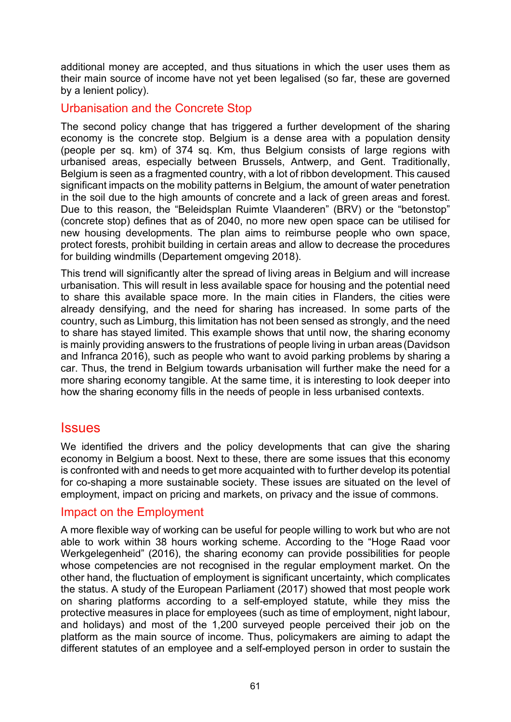additional money are accepted, and thus situations in which the user uses them as their main source of income have not yet been legalised (so far, these are governed by a lenient policy).

#### Urbanisation and the Concrete Stop

The second policy change that has triggered a further development of the sharing economy is the concrete stop. Belgium is a dense area with a population density (people per sq. km) of 374 sq. Km, thus Belgium consists of large regions with urbanised areas, especially between Brussels, Antwerp, and Gent. Traditionally, Belgium is seen as a fragmented country, with a lot of ribbon development. This caused significant impacts on the mobility patterns in Belgium, the amount of water penetration in the soil due to the high amounts of concrete and a lack of green areas and forest. Due to this reason, the "Beleidsplan Ruimte Vlaanderen" (BRV) or the "betonstop" (concrete stop) defines that as of 2040, no more new open space can be utilised for new housing developments. The plan aims to reimburse people who own space, protect forests, prohibit building in certain areas and allow to decrease the procedures for building windmills (Departement omgeving 2018).

This trend will significantly alter the spread of living areas in Belgium and will increase urbanisation. This will result in less available space for housing and the potential need to share this available space more. In the main cities in Flanders, the cities were already densifying, and the need for sharing has increased. In some parts of the country, such as Limburg, this limitation has not been sensed as strongly, and the need to share has stayed limited. This example shows that until now, the sharing economy is mainly providing answers to the frustrations of people living in urban areas (Davidson and Infranca 2016), such as people who want to avoid parking problems by sharing a car. Thus, the trend in Belgium towards urbanisation will further make the need for a more sharing economy tangible. At the same time, it is interesting to look deeper into how the sharing economy fills in the needs of people in less urbanised contexts.

#### **Issues**

We identified the drivers and the policy developments that can give the sharing economy in Belgium a boost. Next to these, there are some issues that this economy is confronted with and needs to get more acquainted with to further develop its potential for co-shaping a more sustainable society. These issues are situated on the level of employment, impact on pricing and markets, on privacy and the issue of commons.

#### Impact on the Employment

A more flexible way of working can be useful for people willing to work but who are not able to work within 38 hours working scheme. According to the "Hoge Raad voor Werkgelegenheid" (2016), the sharing economy can provide possibilities for people whose competencies are not recognised in the regular employment market. On the other hand, the fluctuation of employment is significant uncertainty, which complicates the status. A study of the European Parliament (2017) showed that most people work on sharing platforms according to a self-employed statute, while they miss the protective measures in place for employees (such as time of employment, night labour, and holidays) and most of the 1,200 surveyed people perceived their job on the platform as the main source of income. Thus, policymakers are aiming to adapt the different statutes of an employee and a self-employed person in order to sustain the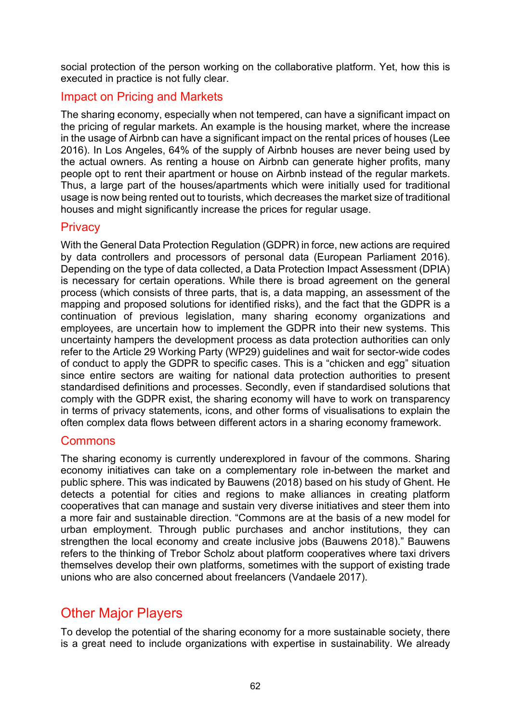social protection of the person working on the collaborative platform. Yet, how this is executed in practice is not fully clear.

### Impact on Pricing and Markets

The sharing economy, especially when not tempered, can have a significant impact on the pricing of regular markets. An example is the housing market, where the increase in the usage of Airbnb can have a significant impact on the rental prices of houses (Lee 2016). In Los Angeles, 64% of the supply of Airbnb houses are never being used by the actual owners. As renting a house on Airbnb can generate higher profits, many people opt to rent their apartment or house on Airbnb instead of the regular markets. Thus, a large part of the houses/apartments which were initially used for traditional usage is now being rented out to tourists, which decreases the market size of traditional houses and might significantly increase the prices for regular usage.

#### **Privacy**

With the General Data Protection Regulation (GDPR) in force, new actions are required by data controllers and processors of personal data (European Parliament 2016). Depending on the type of data collected, a Data Protection Impact Assessment (DPIA) is necessary for certain operations. While there is broad agreement on the general process (which consists of three parts, that is, a data mapping, an assessment of the mapping and proposed solutions for identified risks), and the fact that the GDPR is a continuation of previous legislation, many sharing economy organizations and employees, are uncertain how to implement the GDPR into their new systems. This uncertainty hampers the development process as data protection authorities can only refer to the Article 29 Working Party (WP29) guidelines and wait for sector-wide codes of conduct to apply the GDPR to specific cases. This is a "chicken and egg" situation since entire sectors are waiting for national data protection authorities to present standardised definitions and processes. Secondly, even if standardised solutions that comply with the GDPR exist, the sharing economy will have to work on transparency in terms of privacy statements, icons, and other forms of visualisations to explain the often complex data flows between different actors in a sharing economy framework.

### Commons

The sharing economy is currently underexplored in favour of the commons. Sharing economy initiatives can take on a complementary role in-between the market and public sphere. This was indicated by Bauwens (2018) based on his study of Ghent. He detects a potential for cities and regions to make alliances in creating platform cooperatives that can manage and sustain very diverse initiatives and steer them into a more fair and sustainable direction. "Commons are at the basis of a new model for urban employment. Through public purchases and anchor institutions, they can strengthen the local economy and create inclusive jobs (Bauwens 2018)." Bauwens refers to the thinking of Trebor Scholz about platform cooperatives where taxi drivers themselves develop their own platforms, sometimes with the support of existing trade unions who are also concerned about freelancers (Vandaele 2017).

# Other Major Players

To develop the potential of the sharing economy for a more sustainable society, there is a great need to include organizations with expertise in sustainability. We already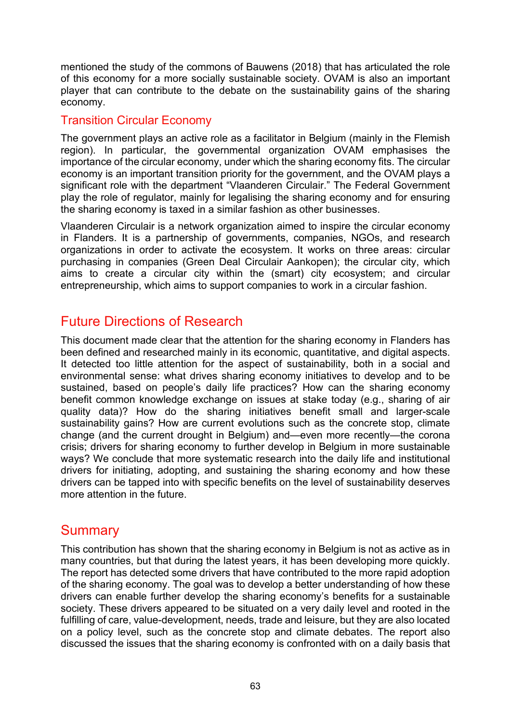mentioned the study of the commons of Bauwens (2018) that has articulated the role of this economy for a more socially sustainable society. OVAM is also an important player that can contribute to the debate on the sustainability gains of the sharing economy.

### Transition Circular Economy

The government plays an active role as a facilitator in Belgium (mainly in the Flemish region). In particular, the governmental organization OVAM emphasises the importance of the circular economy, under which the sharing economy fits. The circular economy is an important transition priority for the government, and the OVAM plays a significant role with the department "Vlaanderen Circulair." The Federal Government play the role of regulator, mainly for legalising the sharing economy and for ensuring the sharing economy is taxed in a similar fashion as other businesses.

Vlaanderen Circulair is a network organization aimed to inspire the circular economy in Flanders. It is a partnership of governments, companies, NGOs, and research organizations in order to activate the ecosystem. It works on three areas: circular purchasing in companies (Green Deal Circulair Aankopen); the circular city, which aims to create a circular city within the (smart) city ecosystem; and circular entrepreneurship, which aims to support companies to work in a circular fashion.

## Future Directions of Research

This document made clear that the attention for the sharing economy in Flanders has been defined and researched mainly in its economic, quantitative, and digital aspects. It detected too little attention for the aspect of sustainability, both in a social and environmental sense: what drives sharing economy initiatives to develop and to be sustained, based on people's daily life practices? How can the sharing economy benefit common knowledge exchange on issues at stake today (e.g., sharing of air quality data)? How do the sharing initiatives benefit small and larger-scale sustainability gains? How are current evolutions such as the concrete stop, climate change (and the current drought in Belgium) and—even more recently—the corona crisis; drivers for sharing economy to further develop in Belgium in more sustainable ways? We conclude that more systematic research into the daily life and institutional drivers for initiating, adopting, and sustaining the sharing economy and how these drivers can be tapped into with specific benefits on the level of sustainability deserves more attention in the future.

# **Summary**

This contribution has shown that the sharing economy in Belgium is not as active as in many countries, but that during the latest years, it has been developing more quickly. The report has detected some drivers that have contributed to the more rapid adoption of the sharing economy. The goal was to develop a better understanding of how these drivers can enable further develop the sharing economy's benefits for a sustainable society. These drivers appeared to be situated on a very daily level and rooted in the fulfilling of care, value-development, needs, trade and leisure, but they are also located on a policy level, such as the concrete stop and climate debates. The report also discussed the issues that the sharing economy is confronted with on a daily basis that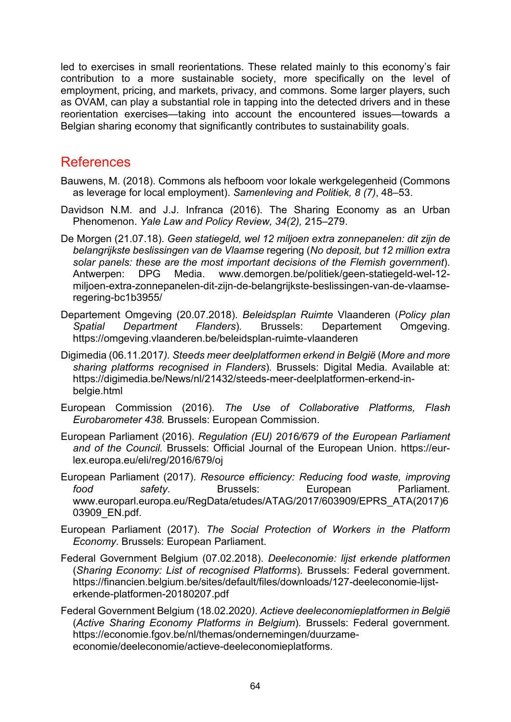led to exercises in small reorientations. These related mainly to this economy's fair contribution to a more sustainable society, more specifically on the level of employment, pricing, and markets, privacy, and commons. Some larger players, such as OVAM, can play a substantial role in tapping into the detected drivers and in these reorientation exercises—taking into account the encountered issues—towards a Belgian sharing economy that significantly contributes to sustainability goals.

### References

- Bauwens, M. (2018). Commons als hefboom voor lokale werkgelegenheid (Commons as leverage for local employment). *Samenleving and Politiek, 8 (7)*, 48–53.
- Davidson N.M. and J.J. Infranca (2016). The Sharing Economy as an Urban Phenomenon. *Yale Law and Policy Review, 34(2),* 215–279.
- De Morgen (21.07.18). *Geen statiegeld, wel 12 miljoen extra zonnepanelen: dit zijn de belangrijkste beslissingen van de Vlaamse* regering (*No deposit, but 12 million extra solar panels: these are the most important decisions of the Flemish government*). Antwerpen: DPG Media. [www.demorgen.be/politiek/geen](https://www.demorgen.be/politiek/geen-statiegeld-wel-12-miljoen-extra-zonnepanelen-dit-zijn-de-belangrijkste-beslissingen-van-de-vlaamse-regering-bc1b3955/)-statiegeld-wel-12 miljoen-extra[-zonnepanelen-dit-zijn-de-](https://www.demorgen.be/politiek/geen-statiegeld-wel-12-miljoen-extra-zonnepanelen-dit-zijn-de-belangrijkste-beslissingen-van-de-vlaamse-regering-bc1b3955/)belangrijkste-beslissingen-van-de-vlaamseregering-[bc1b3955/](https://www.demorgen.be/politiek/geen-statiegeld-wel-12-miljoen-extra-zonnepanelen-dit-zijn-de-belangrijkste-beslissingen-van-de-vlaamse-regering-bc1b3955/)
- Departement Omgeving (20.07.2018). *Beleidsplan Ruimte* Vlaanderen (*Policy plan Spatial Department Flanders*)*.* Brussels: Departement Omgeving. [https://omgeving.vlaanderen.be/beleidsplan](https://omgeving.vlaanderen.be/beleidsplan-ruimte-vlaanderen)-ruimte-vlaanderen
- Digimedia (06.11.2017*). Steeds meer deelplatformen erkend in België* (*More and more sharing platforms recognised in Flanders*)*.* Brussels: Digital Media. Available at: [https://digimedia.be/News/nl/21432/steeds](https://digimedia.be/News/nl/21432/steeds-meer-deelplatformen-erkend-in-belgie.html)-meer-deelplatformen-erkend-inbelgi[e.html](https://digimedia.be/News/nl/21432/steeds-meer-deelplatformen-erkend-in-belgie.html)
- European Commission (2016). *The Use of Collaborative Platforms, Flash Eurobarometer 438.* Brussels: European Commission.
- European Parliament (2016). *Regulation (EU) 2016/679 of the European Parliament and of the Council.* Brussels: Official Journal of the European Union. [https://eur](https://eur-lex.europa.eu/eli/reg/2016/679/oj)[lex.europa.eu/eli/reg/2016/679/oj](https://eur-lex.europa.eu/eli/reg/2016/679/oj)
- European Parliament (2017). *Resource efficiency: Reducing food waste, improving food safety*. Brussels: European Parliament. [www.europarl.europa.eu/RegData/etudes/ATAG/2017/603909/EPRS\\_ATA\(2017\)6](https://www.europarl.europa.eu/RegData/etudes/ATAG/2017/603909/EPRS_ATA(2017)603909_EN.pdf) [03909\\_EN.pdf.](https://www.europarl.europa.eu/RegData/etudes/ATAG/2017/603909/EPRS_ATA(2017)603909_EN.pdf)
- European Parliament (2017). *The Social Protection of Workers in the Platform Economy*. Brussels: European Parliament.
- Federal Government Belgium (07.02.2018). *Deeleconomie: lijst erkende platformen*  (*Sharing Economy: List of recognised Platforms*)*.* Brussels: Federal government. [https://financien.belgium.be/sites/default/files/downloads/127](https://financien.belgium.be/sites/default/files/downloads/127-deeleconomie-lijst-erkende-platformen-20180207.pdf)-deeleconomie-lijst[erkende-platformen-20180207.pdf](https://financien.belgium.be/sites/default/files/downloads/127-deeleconomie-lijst-erkende-platformen-20180207.pdf)
- Federal Government Belgium (18.02.2020*). Actieve deeleconomieplatformen in België*  (*Active Sharing Economy Platforms in Belgium*)*.* Brussels: Federal government*.* [https://economie.fgov.be/nl/themas/ondernemingen/duurzame](https://economie.fgov.be/nl/themas/ondernemingen/duurzame-economie/deeleconomie/actieve-deeleconomieplatforms)[economie/deeleconomie/actieve-deeleconomieplatforms.](https://economie.fgov.be/nl/themas/ondernemingen/duurzame-economie/deeleconomie/actieve-deeleconomieplatforms)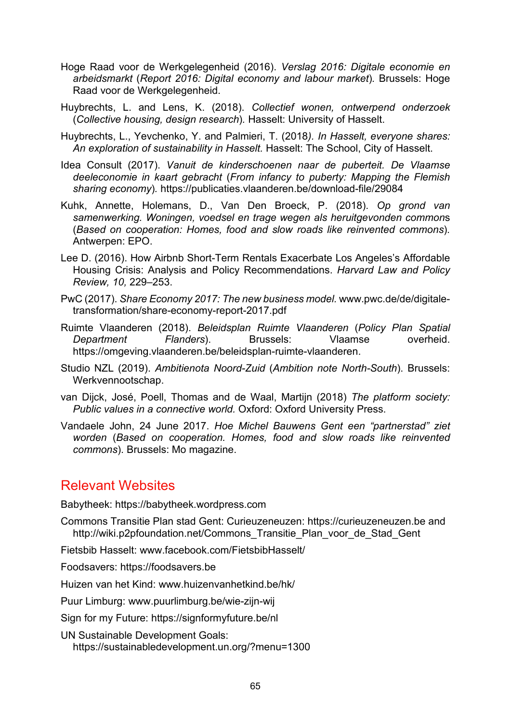- Hoge Raad voor de Werkgelegenheid (2016). *Verslag 2016: Digitale economie en arbeidsmarkt* (*Report 2016: Digital economy and labour market*)*.* Brussels: Hoge Raad voor de Werkgelegenheid.
- Huybrechts, L. and Lens, K. (2018). *Collectief wonen, ontwerpend onderzoek*  (*Collective housing, design research*)*.* Hasselt: University of Hasselt.
- Huybrechts, L., Yevchenko, Y. and Palmieri, T. (2018*). In Hasselt, everyone shares: An exploration of sustainability in Hasselt.* Hasselt: The School, City of Hasselt.
- Idea Consult (2017). *Vanuit de kinderschoenen naar de puberteit. De Vlaamse deeleconomie in kaart gebracht* (*From infancy to puberty: Mapping the Flemish sharing economy*)*.* https://publicaties.vlaanderen.be/download-file/29084
- Kuhk, Annette, Holemans, D., Van Den Broeck, P. (2018). *Op grond van samenwerking. Woningen, voedsel en trage wegen als heruitgevonden common*s (*Based on cooperation: Homes, food and slow roads like reinvented commons*)*.* Antwerpen: EPO.
- Lee D. (2016). How Airbnb Short-Term Rentals Exacerbate Los Angeles's Affordable Housing Crisis: Analysis and Policy Recommendations. *Harvard Law and Policy Review, 10,* 229–253.
- PwC (2017). *Share Economy 2017: The new business model.* [www.pwc.de/de/digitale](https://www.pwc.de/de/digitale-transformation/share-economy-report-2017.pdf)[transformation/share-economy-report-2017.pdf](https://www.pwc.de/de/digitale-transformation/share-economy-report-2017.pdf)
- Ruimte Vlaanderen (2018). *Beleidsplan Ruimte Vlaanderen* (*Policy Plan Spatial Department Flanders*). Brussels: Vlaamse overheid. [https://omgeving.vlaanderen.be/beleidsplan](https://omgeving.vlaanderen.be/beleidsplan-ruimte-vlaanderen)-ruimte-vlaanderen.
- Studio NZL (2019). *Ambitienota Noord-Zuid* (*Ambition note North-South*). Brussels: Werkvennootschap.
- van Dijck, José, Poell, Thomas and de Waal, Martijn (2018) *The platform society: Public values in a connective world.* Oxford: Oxford University Press.
- Vandaele John, 24 June 2017. *Hoe Michel Bauwens Gent een "partnerstad" ziet worden* (*Based on cooperation. Homes, food and slow roads like reinvented commons*). Brussels: Mo magazine.

# Relevant Websites

Babytheek: [https://babytheek.wordpress.com](https://babytheek.wordpress.com/)

- Commons Transitie Plan stad Gent: Curieuzeneuzen: [https://curieuzeneuzen.be](https://curieuzeneuzen.be/) and [http://wiki.p2pfoundation.net/Commons\\_Transitie\\_Plan\\_voor\\_de\\_Stad\\_Gent](http://wiki.p2pfoundation.net/Commons_Transitie_Plan_voor_de_Stad_Gent)
- Fietsbib Hasselt: [www.facebook.com/FietsbibHasselt/](https://www.facebook.com/FietsbibHasselt/)

Foodsavers: [https://foodsavers.be](https://foodsavers.be/)

Huizen van het Kind: [www.huizenvanhetkind.be/hk/](http://www.huizenvanhetkind.be/hk/)

Puur Limburg: [www.puurlimburg.be/wie](https://www.puurlimburg.be/wie-zijn-wij)-zijn-wij

Sign for my Future: <https://signformyfuture.be/nl>

UN Sustainable Development Goals: <https://sustainabledevelopment.un.org/?menu=1300>